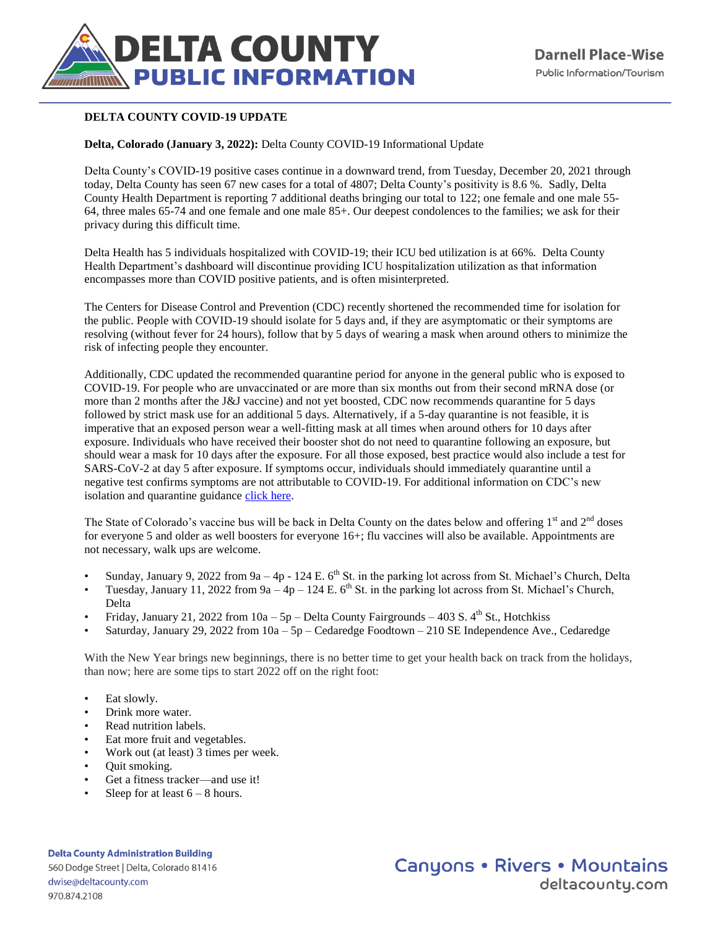

## **DELTA COUNTY COVID-19 UPDATE**

**Delta, Colorado (January 3, 2022):** Delta County COVID-19 Informational Update

Delta County's COVID-19 positive cases continue in a downward trend, from Tuesday, December 20, 2021 through today, Delta County has seen 67 new cases for a total of 4807; Delta County's positivity is 8.6 %. Sadly, Delta County Health Department is reporting 7 additional deaths bringing our total to 122; one female and one male 55- 64, three males 65-74 and one female and one male 85+. Our deepest condolences to the families; we ask for their privacy during this difficult time.

Delta Health has 5 individuals hospitalized with COVID-19; their ICU bed utilization is at 66%. Delta County Health Department's dashboard will discontinue providing ICU hospitalization utilization as that information encompasses more than COVID positive patients, and is often misinterpreted.

The Centers for Disease Control and Prevention (CDC) recently shortened the recommended time for isolation for the public. People with COVID-19 should isolate for 5 days and, if they are asymptomatic or their symptoms are resolving (without fever for 24 hours), follow that by 5 days of wearing a mask when around others to minimize the risk of infecting people they encounter.

Additionally, CDC updated the recommended quarantine period for anyone in the general public who is exposed to COVID-19. For people who are unvaccinated or are more than six months out from their second mRNA dose (or more than 2 months after the J&J vaccine) and not yet boosted, CDC now recommends quarantine for 5 days followed by strict mask use for an additional 5 days. Alternatively, if a 5-day quarantine is not feasible, it is imperative that an exposed person wear a well-fitting mask at all times when around others for 10 days after exposure. Individuals who have received their booster shot do not need to quarantine following an exposure, but should wear a mask for 10 days after the exposure. For all those exposed, best practice would also include a test for SARS-CoV-2 at day 5 after exposure. If symptoms occur, individuals should immediately quarantine until a negative test confirms symptoms are not attributable to COVID-19. For additional information on CDC's new isolation and quarantine guidance [click here.](https://www.cdc.gov/media/releases/2021/s1227-isolation-quarantine-guidance.html) 

The State of Colorado's vaccine bus will be back in Delta County on the dates below and offering  $1<sup>st</sup>$  and  $2<sup>nd</sup>$  doses for everyone 5 and older as well boosters for everyone 16+; flu vaccines will also be available. Appointments are not necessary, walk ups are welcome.

- Sunday, January 9, 2022 from 9a 4p 124 E.  $6<sup>th</sup>$  St. in the parking lot across from St. Michael's Church, Delta
- Tuesday, January 11, 2022 from  $9a 4p 124$  E. 6<sup>th</sup> St. in the parking lot across from St. Michael's Church, Delta
- Friday, January 21, 2022 from  $10a 5p$  Delta County Fairgrounds 403 S. 4<sup>th</sup> St., Hotchkiss
- Saturday, January 29, 2022 from 10a 5p Cedaredge Foodtown 210 SE Independence Ave., Cedaredge

With the New Year brings new beginnings, there is no better time to get your health back on track from the holidays, than now; here are some tips to start 2022 off on the right foot:

- Eat slowly.
- Drink more water.
- Read nutrition labels.
- Eat more fruit and vegetables.
- Work out (at least) 3 times per week.
- Quit smoking.
- Get a fitness tracker—and use it!
- Sleep for at least  $6 8$  hours.

**Delta County Administration Building** 560 Dodge Street | Delta, Colorado 81416 dwise@deltacounty.com 970.874.2108

## **Canyons • Rivers • Mountains** deltacountu.com